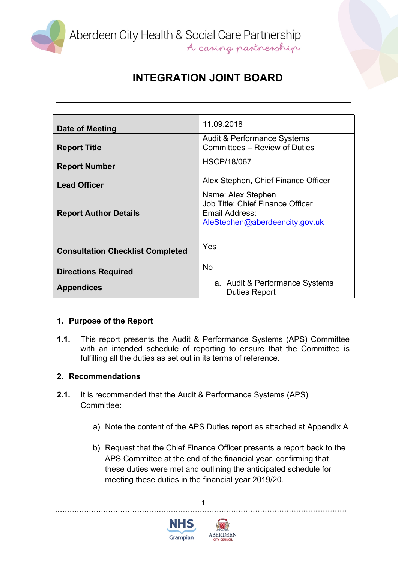

Aberdeen City Health & Social Care Partnership<br>A caning partnership

# **INTEGRATION JOINT BOARD**

| Date of Meeting                         | 11.09.2018                             |
|-----------------------------------------|----------------------------------------|
|                                         | <b>Audit &amp; Performance Systems</b> |
| <b>Report Title</b>                     | <b>Committees - Review of Duties</b>   |
|                                         |                                        |
| <b>Report Number</b>                    | <b>HSCP/18/067</b>                     |
|                                         |                                        |
| <b>Lead Officer</b>                     | Alex Stephen, Chief Finance Officer    |
|                                         | Name: Alex Stephen                     |
|                                         | Job Title: Chief Finance Officer       |
| <b>Report Author Details</b>            | Email Address:                         |
|                                         | AleStephen@aberdeencity.gov.uk         |
|                                         |                                        |
|                                         |                                        |
| <b>Consultation Checklist Completed</b> | Yes                                    |
|                                         |                                        |
| <b>Directions Required</b>              | <b>No</b>                              |
|                                         | a. Audit & Performance Systems         |
| <b>Appendices</b>                       | <b>Duties Report</b>                   |
|                                         |                                        |

### **1. Purpose of the Report**

**1.1.** This report presents the Audit & Performance Systems (APS) Committee with an intended schedule of reporting to ensure that the Committee is fulfilling all the duties as set out in its terms of reference.

### **2. Recommendations**

- **2.1.** It is recommended that the Audit & Performance Systems (APS) Committee:
	- a) Note the content of the APS Duties report as attached at Appendix A
	- b) Request that the Chief Finance Officer presents a report back to the APS Committee at the end of the financial year, confirming that these duties were met and outlining the anticipated schedule for meeting these duties in the financial year 2019/20.





1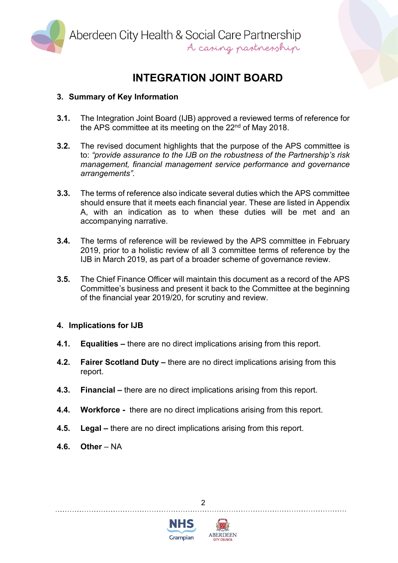

Aberdeen City Health & Social Care Partnership<br>A caping partnership

# **INTEGRATION JOINT BOARD**

# **3. Summary of Key Information**

- **3.1.** The Integration Joint Board (IJB) approved a reviewed terms of reference for the APS committee at its meeting on the 22<sup>nd</sup> of May 2018.
- **3.2.** The revised document highlights that the purpose of the APS committee is to: *"provide assurance to the IJB on the robustness of the Partnership's risk management, financial management service performance and governance arrangements".*
- **3.3.** The terms of reference also indicate several duties which the APS committee should ensure that it meets each financial year. These are listed in Appendix A, with an indication as to when these duties will be met and an accompanying narrative.
- **3.4.** The terms of reference will be reviewed by the APS committee in February 2019, prior to a holistic review of all 3 committee terms of reference by the IJB in March 2019, as part of a broader scheme of governance review.
- **3.5.** The Chief Finance Officer will maintain this document as a record of the APS Committee's business and present it back to the Committee at the beginning of the financial year 2019/20, for scrutiny and review.

### **4. Implications for IJB**

- **4.1. Equalities –** there are no direct implications arising from this report.
- **4.2. Fairer Scotland Duty –** there are no direct implications arising from this report.
- **4.3. Financial –** there are no direct implications arising from this report.
- **4.4. Workforce -** there are no direct implications arising from this report.
- **4.5. Legal –** there are no direct implications arising from this report.
- **4.6. Other** NA





 $\mathfrak{p}$